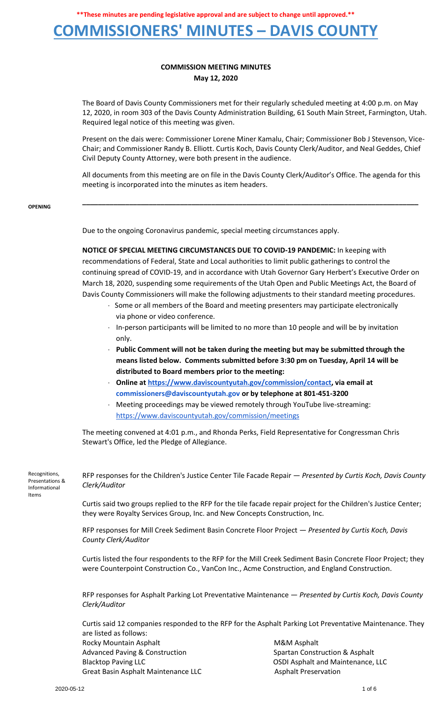**\*\*These minutes are pending legislative approval and are subject to change until approved.\*\***

## **COMMISSIONERS' MINUTES – DAVIS COUNTY**

#### **COMMISSION MEETING MINUTES May 12, 2020**

The Board of Davis County Commissioners met for their regularly scheduled meeting at 4:00 p.m. on May 12, 2020, in room 303 of the Davis County Administration Building, 61 South Main Street, Farmington, Utah. Required legal notice of this meeting was given.

Present on the dais were: Commissioner Lorene Miner Kamalu, Chair; Commissioner Bob J Stevenson, Vice-Chair; and Commissioner Randy B. Elliott. Curtis Koch, Davis County Clerk/Auditor, and Neal Geddes, Chief Civil Deputy County Attorney, were both present in the audience.

All documents from this meeting are on file in the Davis County Clerk/Auditor's Office. The agenda for this meeting is incorporated into the minutes as item headers.

**\_\_\_\_\_\_\_\_\_\_\_\_\_\_\_\_\_\_\_\_\_\_\_\_\_\_\_\_\_\_\_\_\_\_\_\_\_\_\_\_\_\_\_\_\_\_\_\_\_\_\_\_\_\_\_\_\_\_\_\_\_\_\_\_\_\_\_\_\_\_\_\_\_\_\_\_\_\_\_\_\_\_\_\_\_\_**

**OPENING**

Due to the ongoing Coronavirus pandemic, special meeting circumstances apply.

**NOTICE OF SPECIAL MEETING CIRCUMSTANCES DUE TO COVID-19 PANDEMIC:** In keeping with recommendations of Federal, State and Local authorities to limit public gatherings to control the continuing spread of COVID-19, and in accordance with Utah Governor Gary Herbert's Executive Order on March 18, 2020, suspending some requirements of the Utah Open and Public Meetings Act, the Board of Davis County Commissioners will make the following adjustments to their standard meeting procedures.

- · Some or all members of the Board and meeting presenters may participate electronically via phone or video conference.
- · In-person participants will be limited to no more than 10 people and will be by invitation only.
- · **Public Comment will not be taken during the meeting but may be submitted through the means listed below. Comments submitted before 3:30 pm on Tuesday, April 14 will be distributed to Board members prior to the meeting:**
- · **Online a[t](https://www.daviscountyutah.gov/commission/contact) [https://www.daviscountyutah.gov/commission/contact,](https://www.daviscountyutah.gov/commission/contact) via email at commissioners@daviscountyutah.gov or by telephone at 801-451-3200**
- · Meeting proceedings may be viewed remotely through YouTube live-streaming: <https://www.daviscountyutah.gov/commission/meetings>

The meeting convened at 4:01 p.m., and Rhonda Perks, Field Representative for Congressman Chris Stewart's Office, led the Pledge of Allegiance.

Recognitions, Presentations & Informational Items RFP responses for the Children's Justice Center Tile Facade Repair — *Presented by Curtis Koch, Davis County Clerk/Auditor*

> Curtis said two groups replied to the RFP for the tile facade repair project for the Children's Justice Center; they were Royalty Services Group, Inc. and New Concepts Construction, Inc.

RFP responses for Mill Creek Sediment Basin Concrete Floor Project — *Presented by Curtis Koch, Davis County Clerk/Auditor*

Curtis listed the four respondents to the RFP for the Mill Creek Sediment Basin Concrete Floor Project; they were Counterpoint Construction Co., VanCon Inc., Acme Construction, and England Construction.

RFP responses for Asphalt Parking Lot Preventative Maintenance — *Presented by Curtis Koch, Davis County Clerk/Auditor*

Curtis said 12 companies responded to the RFP for the Asphalt Parking Lot Preventative Maintenance. They are listed as follows: Rocky Mountain Asphalt **M&M** Asphalt Advanced Paving & Construction Spartan Construction & Asphalt<br>Blacktop Paving LLC Spartan Construction Spartan Construction & Asphalt

Great Basin Asphalt Maintenance LLC Asphalt Preservation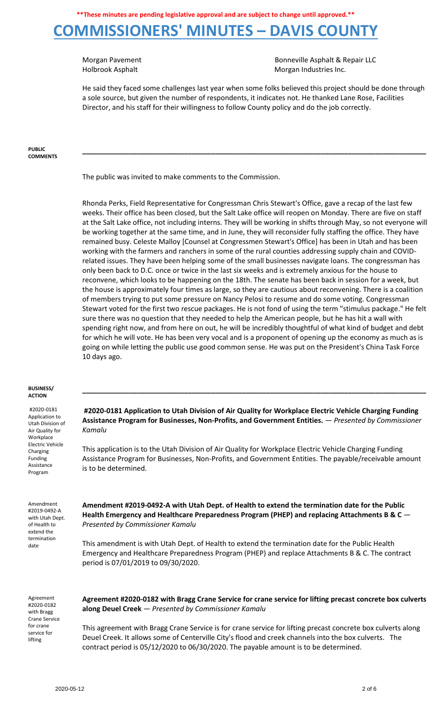Morgan Pavement **Bonneville Asphalt & Repair LLC** Holbrook Asphalt **Morgan Industries Inc.** Morgan Industries Inc.

He said they faced some challenges last year when some folks believed this project should be done through a sole source, but given the number of respondents, it indicates not. He thanked Lane Rose, Facilities Director, and his staff for their willingness to follow County policy and do the job correctly.

**\_\_\_\_\_\_\_\_\_\_\_\_\_\_\_\_\_\_\_\_\_\_\_\_\_\_\_\_\_\_\_\_\_\_\_\_\_\_\_\_\_\_\_\_\_\_\_\_\_\_\_\_\_\_\_\_\_\_\_\_\_\_\_\_\_\_\_\_\_\_\_\_\_\_\_\_\_\_\_\_\_\_\_\_\_\_\_\_**

**PUBLIC COMMENTS**

The public was invited to make comments to the Commission.

Rhonda Perks, Field Representative for Congressman Chris Stewart's Office, gave a recap of the last few weeks. Their office has been closed, but the Salt Lake office will reopen on Monday. There are five on staff at the Salt Lake office, not including interns. They will be working in shifts through May, so not everyone will be working together at the same time, and in June, they will reconsider fully staffing the office. They have remained busy. Celeste Malloy [Counsel at Congressmen Stewart's Office] has been in Utah and has been working with the farmers and ranchers in some of the rural counties addressing supply chain and COVIDrelated issues. They have been helping some of the small businesses navigate loans. The congressman has only been back to D.C. once or twice in the last six weeks and is extremely anxious for the house to reconvene, which looks to be happening on the 18th. The senate has been back in session for a week, but the house is approximately four times as large, so they are cautious about reconvening. There is a coalition of members trying to put some pressure on Nancy Pelosi to resume and do some voting. Congressman Stewart voted for the first two rescue packages. He is not fond of using the term "stimulus package." He felt sure there was no question that they needed to help the American people, but he has hit a wall with spending right now, and from here on out, he will be incredibly thoughtful of what kind of budget and debt for which he will vote. He has been very vocal and is a proponent of opening up the economy as much as is going on while letting the public use good common sense. He was put on the President's China Task Force 10 days ago.

#### **BUSINESS/ ACTION**

#2020-0181 Application to Utah Division of Air Quality for **Workplace** Electric Vehicle Charging Funding Assistance Program

**#2020-0181 Application to Utah Division of Air Quality for Workplace Electric Vehicle Charging Funding Assistance Program for Businesses, Non-Profits, and Government Entities.** — *Presented by Commissioner Kamalu*

**\_\_\_\_\_\_\_\_\_\_\_\_\_\_\_\_\_\_\_\_\_\_\_\_\_\_\_\_\_\_\_\_\_\_\_\_\_\_\_\_\_\_\_\_\_\_\_\_\_\_\_\_\_\_\_\_\_\_\_\_\_\_\_\_\_\_\_\_\_\_\_\_\_\_\_\_\_\_\_\_\_\_\_\_\_\_\_\_**

This application is to the Utah Division of Air Quality for Workplace Electric Vehicle Charging Funding Assistance Program for Businesses, Non-Profits, and Government Entities. The payable/receivable amount is to be determined.

Amendment #2019-0492-A with Utah Dept. of Health to extend the termination date

**Amendment #2019-0492-A with Utah Dept. of Health to extend the termination date for the Public Health Emergency and Healthcare Preparedness Program (PHEP) and replacing Attachments B & C** — *Presented by Commissioner Kamalu*

This amendment is with Utah Dept. of Health to extend the termination date for the Public Health Emergency and Healthcare Preparedness Program (PHEP) and replace Attachments B & C. The contract period is 07/01/2019 to 09/30/2020.

Agreement #2020-0182 with Bragg Crane Service for crane service for lifting

**Agreement #2020-0182 with Bragg Crane Service for crane service for lifting precast concrete box culverts along Deuel Creek** — *Presented by Commissioner Kamalu*

This agreement with Bragg Crane Service is for crane service for lifting precast concrete box culverts along Deuel Creek. It allows some of Centerville City's flood and creek channels into the box culverts. The contract period is 05/12/2020 to 06/30/2020. The payable amount is to be determined.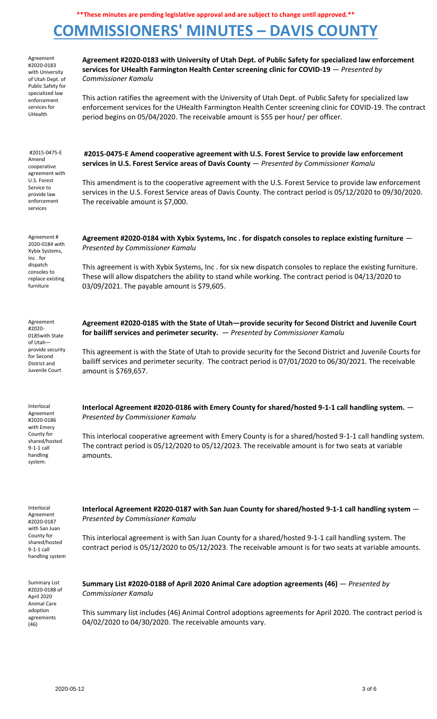| Agreement<br>#2020-0183<br>with University<br>of Utah Dept. of<br>Public Safety for<br>specialized law<br>enforcement<br>services for<br>UHealth | Agreement #2020-0183 with University of Utah Dept. of Public Safety for specialized law enforcement<br>services for UHealth Farmington Health Center screening clinic for COVID-19 - Presented by<br><b>Commissioner Kamalu</b><br>This action ratifies the agreement with the University of Utah Dept. of Public Safety for specialized law<br>enforcement services for the UHealth Farmington Health Center screening clinic for COVID-19. The contract<br>period begins on 05/04/2020. The receivable amount is \$55 per hour/ per officer. |
|--------------------------------------------------------------------------------------------------------------------------------------------------|------------------------------------------------------------------------------------------------------------------------------------------------------------------------------------------------------------------------------------------------------------------------------------------------------------------------------------------------------------------------------------------------------------------------------------------------------------------------------------------------------------------------------------------------|
| #2015-0475-E<br>Amend<br>cooperative<br>agreement with<br>U.S. Forest<br>Service to<br>provide law<br>enforcement<br>services                    | #2015-0475-E Amend cooperative agreement with U.S. Forest Service to provide law enforcement<br>services in U.S. Forest Service areas of Davis County - Presented by Commissioner Kamalu<br>This amendment is to the cooperative agreement with the U.S. Forest Service to provide law enforcement<br>services in the U.S. Forest Service areas of Davis County. The contract period is 05/12/2020 to 09/30/2020.<br>The receivable amount is \$7,000.                                                                                         |
| Agreement#<br>2020-0184 with<br>Xybix Systems,<br>Inc.for<br>dispatch<br>consoles to<br>replace existing<br>furniture                            | Agreement #2020-0184 with Xybix Systems, Inc. for dispatch consoles to replace existing furniture -<br>Presented by Commissioner Kamalu<br>This agreement is with Xybix Systems, Inc. for six new dispatch consoles to replace the existing furniture.<br>These will allow dispatchers the ability to stand while working. The contract period is 04/13/2020 to<br>03/09/2021. The payable amount is \$79,605.                                                                                                                                 |
| Agreement<br>#2020-<br>0185 with State<br>of Utah-<br>provide security<br>for Second<br>District and<br>Juvenile Court                           | Agreement #2020-0185 with the State of Utah-provide security for Second District and Juvenile Court<br>for bailiff services and perimeter security. - Presented by Commissioner Kamalu<br>This agreement is with the State of Utah to provide security for the Second District and Juvenile Courts for<br>bailiff services and perimeter security. The contract period is 07/01/2020 to 06/30/2021. The receivable<br>amount is \$769,657.                                                                                                     |
| Interlocal<br>Agreement<br>#2020-0186<br>with Emery<br>County for<br>shared/hosted<br>$9-1-1$ call<br>handling<br>system.                        | Interlocal Agreement #2020-0186 with Emery County for shared/hosted 9-1-1 call handling system. $-$<br>Presented by Commissioner Kamalu<br>This interlocal cooperative agreement with Emery County is for a shared/hosted 9-1-1 call handling system.<br>The contract period is 05/12/2020 to 05/12/2023. The receivable amount is for two seats at variable<br>amounts.                                                                                                                                                                       |
| Interlocal<br>Agreement<br>#2020-0187<br>with San Juan<br>County for<br>shared/hosted<br>$9-1-1$ call<br>handling system                         | Interlocal Agreement #2020-0187 with San Juan County for shared/hosted 9-1-1 call handling system $-$<br>Presented by Commissioner Kamalu<br>This interlocal agreement is with San Juan County for a shared/hosted 9-1-1 call handling system. The<br>contract period is 05/12/2020 to 05/12/2023. The receivable amount is for two seats at variable amounts.                                                                                                                                                                                 |
| <b>Summary List</b><br>#2020-0188 of<br>April 2020<br>Animal Care<br>adoption<br>agreements<br>(46)                                              | Summary List #2020-0188 of April 2020 Animal Care adoption agreements (46) - Presented by<br><b>Commissioner Kamalu</b><br>This summary list includes (46) Animal Control adoptions agreements for April 2020. The contract period is<br>04/02/2020 to 04/30/2020. The receivable amounts vary.                                                                                                                                                                                                                                                |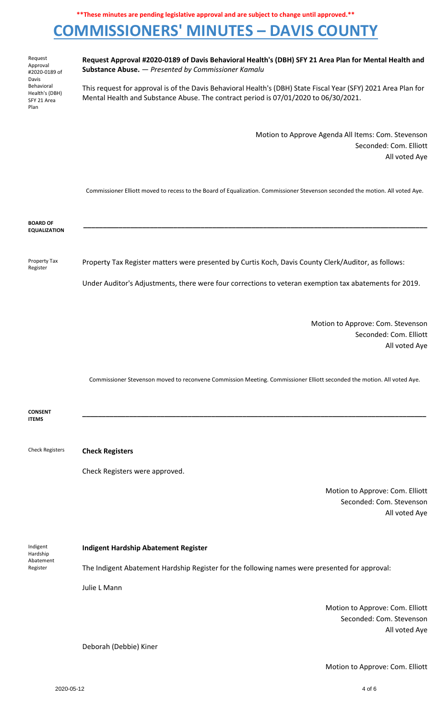Request Approval #2020-0189 of Davis Behavioral Health's (DBH) SFY 21 Area Plan

**Request Approval #2020-0189 of Davis Behavioral Health's (DBH) SFY 21 Area Plan for Mental Health and Substance Abuse.** — *Presented by Commissioner Kamalu*

This request for approval is of the Davis Behavioral Health's (DBH) State Fiscal Year (SFY) 2021 Area Plan for Mental Health and Substance Abuse. The contract period is 07/01/2020 to 06/30/2021.

> Motion to Approve Agenda All Items: Com. Stevenson Seconded: Com. Elliott All voted Aye

Commissioner Elliott moved to recess to the Board of Equalization. Commissioner Stevenson seconded the motion. All voted Aye.

**\_\_\_\_\_\_\_\_\_\_\_\_\_\_\_\_\_\_\_\_\_\_\_\_\_\_\_\_\_\_\_\_\_\_\_\_\_\_\_\_\_\_\_\_\_\_\_\_\_\_\_\_\_\_\_\_\_\_\_\_\_\_\_\_\_\_\_\_\_\_\_\_\_\_\_\_\_\_\_\_\_\_\_\_\_\_\_\_**

**BOARD OF EQUALIZATION**

Property Tax Register Property Tax Register matters were presented by Curtis Koch, Davis County Clerk/Auditor, as follows:

Under Auditor's Adjustments, there were four corrections to veteran exemption tax abatements for 2019.

Motion to Approve: Com. Stevenson Seconded: Com. Elliott All voted Aye

Commissioner Stevenson moved to reconvene Commission Meeting. Commissioner Elliott seconded the motion. All voted Aye.

**CONSENT ITEMS \_\_\_\_\_\_\_\_\_\_\_\_\_\_\_\_\_\_\_\_\_\_\_\_\_\_\_\_\_\_\_\_\_\_\_\_\_\_\_\_\_\_\_\_\_\_\_\_\_\_\_\_\_\_\_\_\_\_\_\_\_\_\_\_\_\_\_\_\_\_\_\_\_\_\_\_\_\_\_\_\_\_\_\_\_\_\_\_** Check Registers **Check Registers**

Check Registers were approved.

Motion to Approve: Com. Elliott Seconded: Com. Stevenson All voted Aye

| Indigent<br>Hardship<br>Abatement<br>Register | <b>Indigent Hardship Abatement Register</b>                                                   |
|-----------------------------------------------|-----------------------------------------------------------------------------------------------|
|                                               | The Indigent Abatement Hardship Register for the following names were presented for approval: |
|                                               | Julie L Mann                                                                                  |
|                                               | Motion to Annrove: Com, Elliott                                                               |

Motion to Approve: Com. Elliott Seconded: Com. Stevenson All voted Aye

Deborah (Debbie) Kiner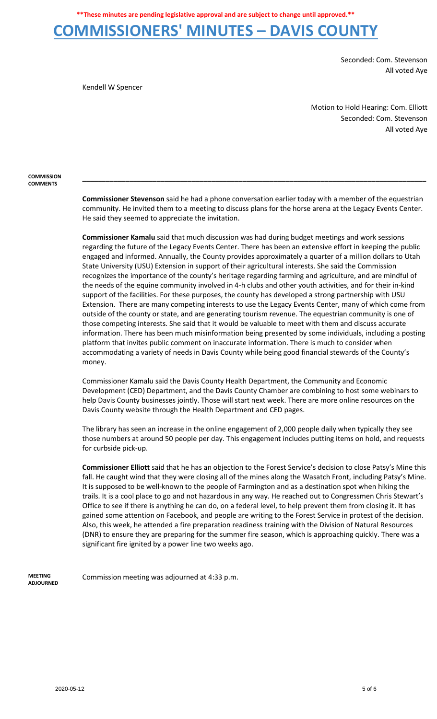Seconded: Com. Stevenson All voted Aye

Kendell W Spencer

Motion to Hold Hearing: Com. Elliott Seconded: Com. Stevenson All voted Aye

**COMMISSION COMMENTS**

> **Commissioner Stevenson** said he had a phone conversation earlier today with a member of the equestrian community. He invited them to a meeting to discuss plans for the horse arena at the Legacy Events Center. He said they seemed to appreciate the invitation.

> **\_\_\_\_\_\_\_\_\_\_\_\_\_\_\_\_\_\_\_\_\_\_\_\_\_\_\_\_\_\_\_\_\_\_\_\_\_\_\_\_\_\_\_\_\_\_\_\_\_\_\_\_\_\_\_\_\_\_\_\_\_\_\_\_\_\_\_\_\_\_\_\_\_\_\_\_\_\_\_\_\_\_\_\_\_\_\_\_**

**Commissioner Kamalu** said that much discussion was had during budget meetings and work sessions regarding the future of the Legacy Events Center. There has been an extensive effort in keeping the public engaged and informed. Annually, the County provides approximately a quarter of a million dollars to Utah State University (USU) Extension in support of their agricultural interests. She said the Commission recognizes the importance of the county's heritage regarding farming and agriculture, and are mindful of the needs of the equine community involved in 4-h clubs and other youth activities, and for their in-kind support of the facilities. For these purposes, the county has developed a strong partnership with USU Extension. There are many competing interests to use the Legacy Events Center, many of which come from outside of the county or state, and are generating tourism revenue. The equestrian community is one of those competing interests. She said that it would be valuable to meet with them and discuss accurate information. There has been much misinformation being presented by some individuals, including a posting platform that invites public comment on inaccurate information. There is much to consider when accommodating a variety of needs in Davis County while being good financial stewards of the County's money.

Commissioner Kamalu said the Davis County Health Department, the Community and Economic Development (CED) Department, and the Davis County Chamber are combining to host some webinars to help Davis County businesses jointly. Those will start next week. There are more online resources on the Davis County website through the Health Department and CED pages.

The library has seen an increase in the online engagement of 2,000 people daily when typically they see those numbers at around 50 people per day. This engagement includes putting items on hold, and requests for curbside pick-up.

**Commissioner Elliott** said that he has an objection to the Forest Service's decision to close Patsy's Mine this fall. He caught wind that they were closing all of the mines along the Wasatch Front, including Patsy's Mine. It is supposed to be well-known to the people of Farmington and as a destination spot when hiking the trails. It is a cool place to go and not hazardous in any way. He reached out to Congressmen Chris Stewart's Office to see if there is anything he can do, on a federal level, to help prevent them from closing it. It has gained some attention on Facebook, and people are writing to the Forest Service in protest of the decision. Also, this week, he attended a fire preparation readiness training with the Division of Natural Resources (DNR) to ensure they are preparing for the summer fire season, which is approaching quickly. There was a significant fire ignited by a power line two weeks ago.

**MEETING ADJOURNED**

Commission meeting was adjourned at 4:33 p.m.